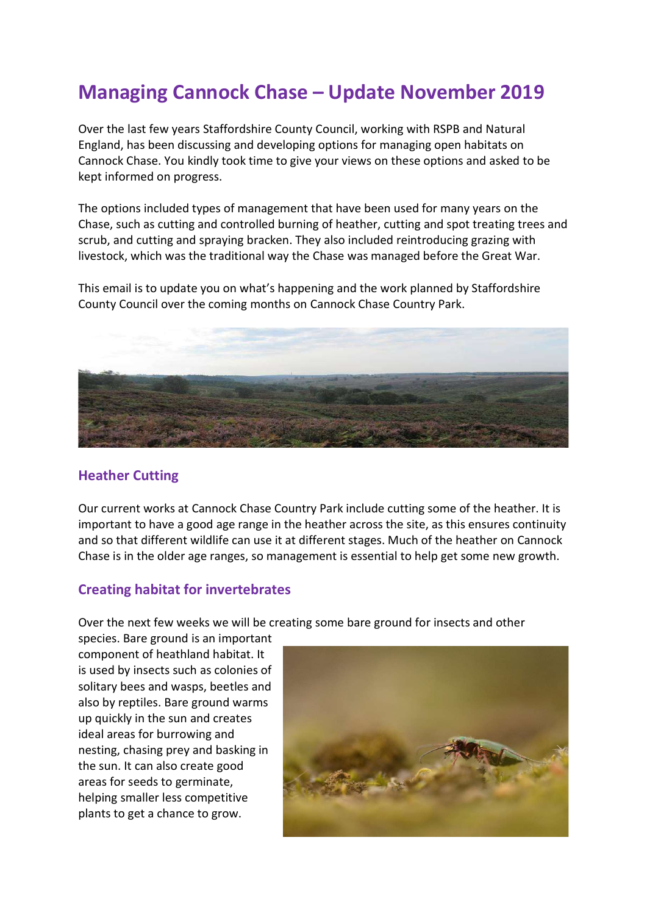## Managing Cannock Chase – Update November 2019

Over the last few years Staffordshire County Council, working with RSPB and Natural England, has been discussing and developing options for managing open habitats on Cannock Chase. You kindly took time to give your views on these options and asked to be kept informed on progress.

The options included types of management that have been used for many years on the Chase, such as cutting and controlled burning of heather, cutting and spot treating trees and scrub, and cutting and spraying bracken. They also included reintroducing grazing with livestock, which was the traditional way the Chase was managed before the Great War.

This email is to update you on what's happening and the work planned by Staffordshire County Council over the coming months on Cannock Chase Country Park.



## Heather Cutting

Our current works at Cannock Chase Country Park include cutting some of the heather. It is important to have a good age range in the heather across the site, as this ensures continuity and so that different wildlife can use it at different stages. Much of the heather on Cannock Chase is in the older age ranges, so management is essential to help get some new growth.

## Creating habitat for invertebrates

Over the next few weeks we will be creating some bare ground for insects and other

species. Bare ground is an important component of heathland habitat. It is used by insects such as colonies of solitary bees and wasps, beetles and also by reptiles. Bare ground warms up quickly in the sun and creates ideal areas for burrowing and nesting, chasing prey and basking in the sun. It can also create good areas for seeds to germinate, helping smaller less competitive plants to get a chance to grow.